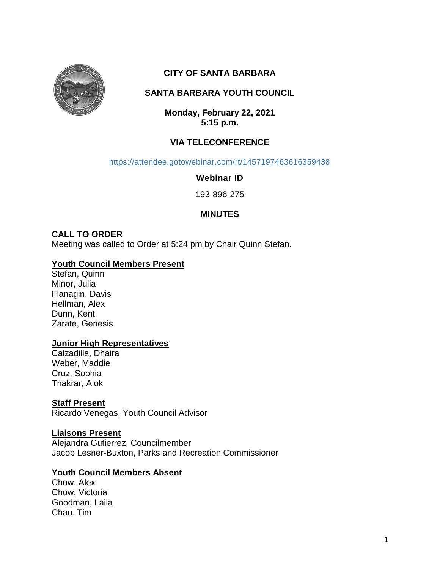

# **CITY OF SANTA BARBARA**

# **SANTA BARBARA YOUTH COUNCIL**

**Monday, February 22, 2021 5:15 p.m.**

# **VIA TELECONFERENCE**

<https://attendee.gotowebinar.com/rt/1457197463616359438>

**Webinar ID**

193-896-275

# **MINUTES**

#### **CALL TO ORDER**

Meeting was called to Order at 5:24 pm by Chair Quinn Stefan.

#### **Youth Council Members Present**

Stefan, Quinn Minor, Julia Flanagin, Davis Hellman, Alex Dunn, Kent Zarate, Genesis

#### **Junior High Representatives**

Calzadilla, Dhaira Weber, Maddie Cruz, Sophia Thakrar, Alok

### **Staff Present**

Ricardo Venegas, Youth Council Advisor

#### **Liaisons Present**

Alejandra Gutierrez, Councilmember Jacob Lesner-Buxton, Parks and Recreation Commissioner

#### **Youth Council Members Absent**

Chow, Alex Chow, Victoria Goodman, Laila Chau, Tim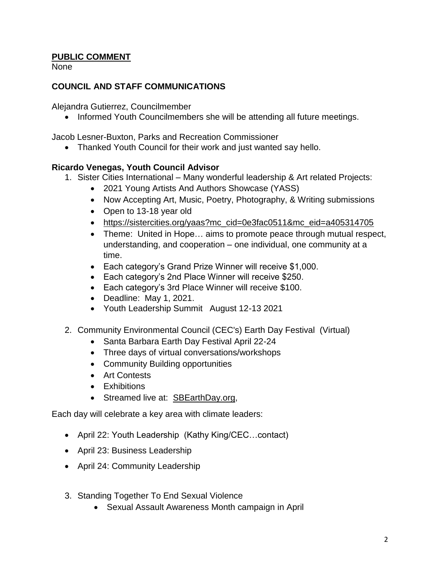## **PUBLIC COMMENT**

None

### **COUNCIL AND STAFF COMMUNICATIONS**

Alejandra Gutierrez, Councilmember

• Informed Youth Councilmembers she will be attending all future meetings.

Jacob Lesner-Buxton, Parks and Recreation Commissioner

Thanked Youth Council for their work and just wanted say hello.

#### **Ricardo Venegas, Youth Council Advisor**

- 1. Sister Cities International Many wonderful leadership & Art related Projects:
	- 2021 Young Artists And Authors Showcase (YASS)
	- Now Accepting Art, Music, Poetry, Photography, & Writing submissions
	- Open to 13-18 year old
	- [https://sistercities.org/yaas?mc\\_cid=0e3fac0511&mc\\_eid=a405314705](https://sistercities.org/yaas?mc_cid=0e3fac0511&mc_eid=a405314705)
	- Theme: United in Hope... aims to promote peace through mutual respect, understanding, and cooperation – one individual, one community at a time.
	- Each category's Grand Prize Winner will receive \$1,000.
	- Each category's 2nd Place Winner will receive \$250.
	- Each category's 3rd Place Winner will receive \$100.
	- Deadline: May 1, 2021.
	- Youth Leadership Summit August 12-13 2021
- 2. Community Environmental Council (CEC's) Earth Day Festival (Virtual)
	- Santa Barbara Earth Day Festival April 22-24
	- Three days of virtual conversations/workshops
	- Community Building opportunities
	- Art Contests
	- Exhibitions
	- Streamed live at: [SBEarthDay.org,](https://cecsb.us2.list-manage.com/track/click?u=6e984b366297ce64347238270&id=41d80af963&e=a5aa75dec3)

Each day will celebrate a key area with climate leaders:

- April 22: Youth Leadership (Kathy King/CEC…contact)
- April 23: Business Leadership
- April 24: Community Leadership
- 3. Standing Together To End Sexual Violence
	- Sexual Assault Awareness Month campaign in April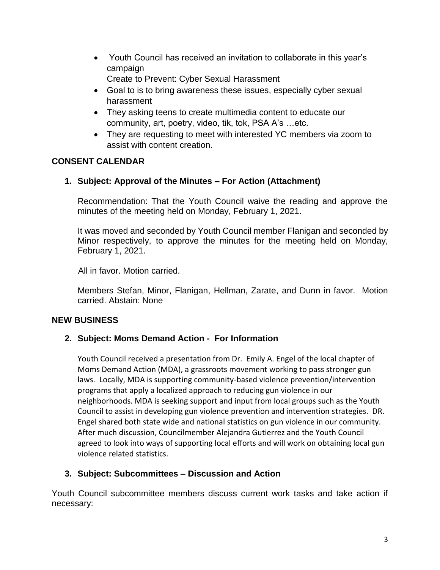Youth Council has received an invitation to collaborate in this year's campaign

Create to Prevent: Cyber Sexual Harassment

- Goal to is to bring awareness these issues, especially cyber sexual harassment
- They asking teens to create multimedia content to educate our community, art, poetry, video, tik, tok, PSA A's …etc.
- They are requesting to meet with interested YC members via zoom to assist with content creation.

# **CONSENT CALENDAR**

# **1. Subject: Approval of the Minutes – For Action (Attachment)**

Recommendation: That the Youth Council waive the reading and approve the minutes of the meeting held on Monday, February 1, 2021.

It was moved and seconded by Youth Council member Flanigan and seconded by Minor respectively, to approve the minutes for the meeting held on Monday, February 1, 2021.

All in favor. Motion carried.

Members Stefan, Minor, Flanigan, Hellman, Zarate, and Dunn in favor. Motion carried. Abstain: None

### **NEW BUSINESS**

### **2. Subject: Moms Demand Action - For Information**

Youth Council received a presentation from Dr. Emily A. Engel of the local chapter of Moms Demand Action (MDA), a grassroots movement working to pass stronger gun laws. Locally, MDA is supporting community-based violence prevention/intervention programs that apply a localized approach to reducing gun violence in our neighborhoods. MDA is seeking support and input from local groups such as the Youth Council to assist in developing gun violence prevention and intervention strategies. DR. Engel shared both state wide and national statistics on gun violence in our community. After much discussion, Councilmember Alejandra Gutierrez and the Youth Council agreed to look into ways of supporting local efforts and will work on obtaining local gun violence related statistics.

### **3. Subject: Subcommittees – Discussion and Action**

Youth Council subcommittee members discuss current work tasks and take action if necessary: